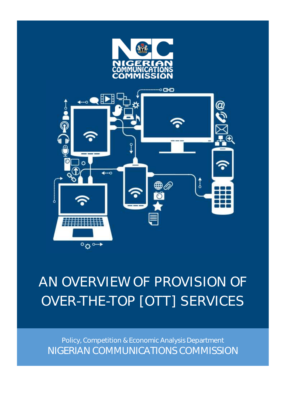



# AN OVERVIEW OF PROVISION OF OVER-THE-TOP [OTT] SERVICES

Policy, Competition & Economic Analysis Department NIGERIAN COMMUNICATIONS COMMISSION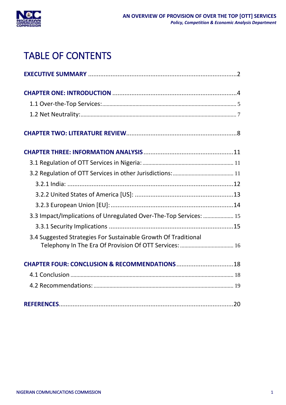

# TABLE OF CONTENTS

| 3.3 Impact/Implications of Unregulated Over-The-Top Services:  15 |  |
|-------------------------------------------------------------------|--|
|                                                                   |  |
| 3.4 Suggested Strategies For Sustainable Growth Of Traditional    |  |
| Telephony In The Era Of Provision Of OTT Services:  16            |  |
|                                                                   |  |
|                                                                   |  |
|                                                                   |  |
|                                                                   |  |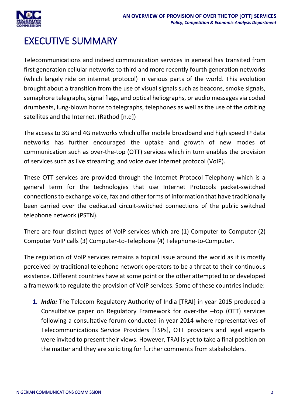

## <span id="page-2-0"></span>EXECUTIVE SUMMARY

Telecommunications and indeed communication services in general has transited from first generation cellular networks to third and more recently fourth generation networks (which largely ride on internet protocol) in various parts of the world. This evolution brought about a transition from the use of visual signals such as beacons, smoke signals, semaphore telegraphs, signal flags, and optical heliographs, or audio messages via coded drumbeats, lung-blown horns to telegraphs, telephones as well as the use of the orbiting satellites and the Internet. (Rathod [n.d])

The access to 3G and 4G networks which offer mobile broadband and high speed IP data networks has further encouraged the uptake and growth of new modes of communication such as over-the-top (OTT) services which in turn enables the provision of services such as live streaming; and voice over internet protocol (VoIP).

These OTT services are provided through the Internet Protocol Telephony which is a general term for the technologies that use Internet Protocols packet-switched connections to exchange voice, fax and other forms of information that have traditionally been carried over the dedicated circuit-switched connections of the public switched telephone network (PSTN).

There are four distinct types of VoIP services which are (1) Computer-to-Computer (2) Computer VoIP calls (3) Computer-to-Telephone (4) Telephone-to-Computer.

The regulation of VoIP services remains a topical issue around the world as it is mostly perceived by traditional telephone network operators to be a threat to their continuous existence. Different countries have at some point or the other attempted to or developed a framework to regulate the provision of VoIP services. Some of these countries include:

**1.** *India:* The Telecom Regulatory Authority of India [TRAI] in year 2015 produced a Consultative paper on Regulatory Framework for over-the –top (OTT) services following a consultative forum conducted in year 2014 where representatives of Telecommunications Service Providers [TSPs], OTT providers and legal experts were invited to present their views. However, TRAI is yet to take a final position on the matter and they are soliciting for further comments from stakeholders.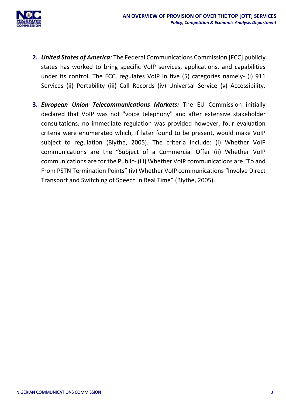

- **2.** *United States of America:* The Federal Communications Commission [FCC] publicly states has worked to bring specific VoIP services, applications, and capabilities under its control. The FCC, regulates VoIP in five (5) categories namely- (i) 911 Services (ii) Portability (iii) Call Records (iv) Universal Service (v) Accessibility.
- **3.** *European Union Telecommunications Markets:* The EU Commission initially declared that VoIP was not "voice telephony" and after extensive stakeholder consultations, no immediate regulation was provided however, four evaluation criteria were enumerated which, if later found to be present, would make VoIP subject to regulation (Blythe, 2005). The criteria include: (i) Whether VoIP communications are the "Subject of a Commercial Offer (ii) Whether VoIP communications are for the Public- (iii) Whether VoIP communications are "To and From PSTN Termination Points" (iv) Whether VoIP communications "Involve Direct Transport and Switching of Speech in Real Time" (Blythe, 2005).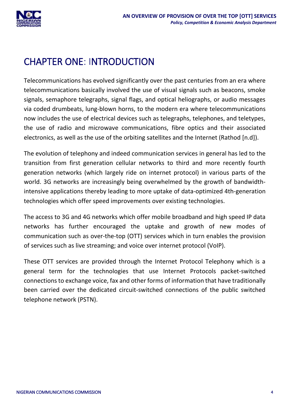

# <span id="page-4-0"></span>CHAPTER ONE: INTRODUCTION

Telecommunications has evolved significantly over the past centuries from an era where telecommunications basically involved the use of visual signals such as beacons, smoke signals, semaphore telegraphs, signal flags, and optical heliographs, or audio messages via coded drumbeats, lung-blown horns, to the modern era where telecommunications now includes the use of electrical devices such as telegraphs, telephones, and teletypes, the use of radio and microwave communications, fibre optics and their associated electronics, as well as the use of the orbiting satellites and the Internet (Rathod [n.d]).

The evolution of telephony and indeed communication services in general has led to the transition from first generation cellular networks to third and more recently fourth generation networks (which largely ride on internet protocol) in various parts of the world. 3G networks are increasingly being overwhelmed by the growth of bandwidthintensive applications thereby leading to more uptake of data-optimized 4th-generation technologies which offer speed improvements over existing technologies.

The access to 3G and 4G networks which offer mobile broadband and high speed IP data networks has further encouraged the uptake and growth of new modes of communication such as over-the-top (OTT) services which in turn enables the provision of services such as live streaming; and voice over internet protocol (VoIP).

These OTT services are provided through the Internet Protocol Telephony which is a general term for the technologies that use Internet Protocols packet-switched connections to exchange voice, fax and other forms of information that have traditionally been carried over the dedicated circuit-switched connections of the public switched telephone network (PSTN).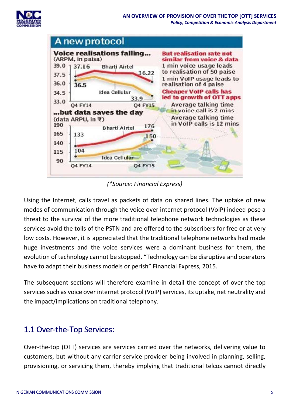



*(\*Source: Financial Express)*

Using the Internet, calls travel as packets of data on shared lines. The uptake of new modes of communication through the voice over internet protocol (VoIP) indeed pose a threat to the survival of the more traditional telephone network technologies as these services avoid the tolls of the PSTN and are offered to the subscribers for free or at very low costs. However, it is appreciated that the traditional telephone networks had made huge investments and the voice services were a dominant business for them, the evolution of technology cannot be stopped. "Technology can be disruptive and operators have to adapt their business models or perish" Financial Express, 2015.

The subsequent sections will therefore examine in detail the concept of over-the-top services such as voice over internet protocol (VoIP) services, its uptake, net neutrality and the impact/implications on traditional telephony.

### <span id="page-5-0"></span>1.1 Over-the-Top Services:

Over-the-top (OTT) services are services carried over the networks, delivering value to customers, but without any carrier service provider being involved in planning, selling, provisioning, or servicing them, thereby implying that traditional telcos cannot directly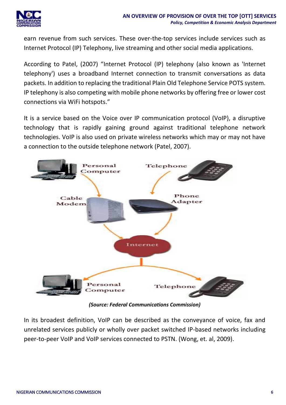earn revenue from such services. These over-the-top services include services such as Internet Protocol (IP) Telephony, live streaming and other social media applications.

According to Patel, (2007) "Internet Protocol (IP) telephony (also known as 'Internet telephony') uses a broadband Internet connection to transmit conversations as data packets. In addition to replacing the traditional Plain Old Telephone Service POTS system. IP telephony is also competing with mobile phone networks by offering free or lower cost connections via WiFi hotspots."

It is a service based on the Voice over IP communication protocol (VoIP), a disruptive technology that is rapidly gaining ground against traditional telephone network technologies. VoIP is also used on private wireless networks which may or may not have a connection to the outside telephone network (Patel, 2007).



*(Source: Federal Communications Commission)*

In its broadest definition, VoIP can be described as the conveyance of voice, fax and unrelated services publicly or wholly over packet switched IP-based networks including peer-to-peer VoIP and VoIP services connected to PSTN. (Wong, et. al, 2009).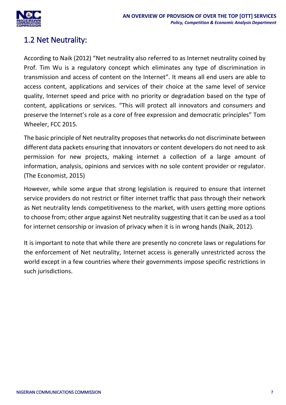

### <span id="page-7-0"></span>1.2 Net Neutrality:

According to Naik (2012) "Net neutrality also referred to as Internet neutrality coined by Prof. Tim Wu is a regulatory concept which eliminates any type of discrimination in transmission and access of content on the Internet". It means all end users are able to access content, applications and services of their choice at the same level of service quality, Internet speed and price with no priority or degradation based on the type of content, applications or services. "This will protect all innovators and consumers and preserve the Internet's role as a core of free expression and democratic principles" Tom Wheeler, FCC 2015.

The basic principle of Net neutrality proposes that networks do not discriminate between different data packets ensuring that innovators or content developers do not need to ask permission for new projects, making internet a collection of a large amount of information, analysis, opinions and services with no sole content provider or regulator. (The Economist, 2015)

However, while some argue that strong legislation is required to ensure that internet service providers do not restrict or filter internet traffic that pass through their network as Net neutrality lends competitiveness to the market, with users getting more options to choose from; other argue against Net neutrality suggesting that it can be used as a tool for internet censorship or invasion of privacy when it is in wrong hands (Naik, 2012).

It is important to note that while there are presently no concrete laws or regulations for the enforcement of Net neutrality, Internet access is generally unrestricted across the world except in a few countries where their governments impose specific restrictions in such jurisdictions.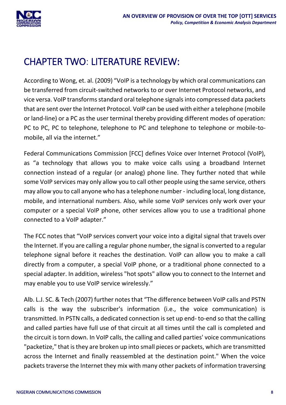

# <span id="page-8-0"></span>CHAPTER TWO: LITERATURE REVIEW:

According to Wong, et. al. (2009) "VoIP is a technology by which oral communications can be transferred from circuit-switched networks to or over Internet Protocol networks, and vice versa. VoIP transforms standard oral telephone signals into compressed data packets that are sent over the Internet Protocol. VoIP can be used with either a telephone (mobile or land-line) or a PC as the user terminal thereby providing different modes of operation: PC to PC, PC to telephone, telephone to PC and telephone to telephone or mobile-tomobile, all via the internet."

Federal Communications Commission [FCC] defines Voice over Internet Protocol (VoIP), as "a technology that allows you to make voice calls using a broadband Internet connection instead of a regular (or analog) phone line. They further noted that while some VoIP services may only allow you to call other people using the same service, others may allow you to call anyone who has a telephone number - including local, long distance, mobile, and international numbers. Also, while some VoIP services only work over your computer or a special VoIP phone, other services allow you to use a traditional phone connected to a VoIP adapter."

The FCC notes that "VoIP services convert your voice into a digital signal that travels over the Internet. If you are calling a regular phone number, the signal is converted to a regular telephone signal before it reaches the destination. VoIP can allow you to make a call directly from a computer, a special VoIP phone, or a traditional phone connected to a special adapter. In addition, wireless "hot spots" allow you to connect to the Internet and may enable you to use VoIP service wirelessly."

Alb. L.J. SC. & Tech (2007) further notes that "The difference between VoIP calls and PSTN calls is the way the subscriber's information (i.e., the voice communication) is transmitted. In PSTN calls, a dedicated connection is set up end- to-end so that the calling and called parties have full use of that circuit at all times until the call is completed and the circuit is torn down. In VoIP calls, the calling and called parties' voice communications "packetize," that is they are broken up into small pieces or packets, which are transmitted across the Internet and finally reassembled at the destination point." When the voice packets traverse the Internet they mix with many other packets of information traversing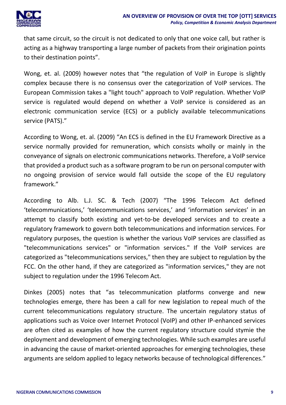

that same circuit, so the circuit is not dedicated to only that one voice call, but rather is acting as a highway transporting a large number of packets from their origination points to their destination points".

Wong, et. al. (2009) however notes that "the regulation of VoIP in Europe is slightly complex because there is no consensus over the categorization of VoIP services. The European Commission takes a "light touch" approach to VoIP regulation. Whether VoIP service is regulated would depend on whether a VoIP service is considered as an electronic communication service (ECS) or a publicly available telecommunications service (PATS)."

According to Wong, et. al. (2009) "An ECS is defined in the EU Framework Directive as a service normally provided for remuneration, which consists wholly or mainly in the conveyance of signals on electronic communications networks. Therefore, a VoIP service that provided a product such as a software program to be run on personal computer with no ongoing provision of service would fall outside the scope of the EU regulatory framework."

According to Alb. L.J. SC. & Tech (2007) "The 1996 Telecom Act defined 'telecommunications,' 'telecommunications services,' and 'information services' in an attempt to classify both existing and yet-to-be developed services and to create a regulatory framework to govern both telecommunications and information services. For regulatory purposes, the question is whether the various VoIP services are classified as "telecommunications services" or "information services." If the VoIP services are categorized as "telecommunications services," then they are subject to regulation by the FCC. On the other hand, if they are categorized as "information services," they are not subject to regulation under the 1996 Telecom Act.

Dinkes (2005) notes that "as telecommunication platforms converge and new technologies emerge, there has been a call for new legislation to repeal much of the current telecommunications regulatory structure. The uncertain regulatory status of applications such as Voice over Internet Protocol (VoIP) and other IP-enhanced services are often cited as examples of how the current regulatory structure could stymie the deployment and development of emerging technologies. While such examples are useful in advancing the cause of market-oriented approaches for emerging technologies, these arguments are seldom applied to legacy networks because of technological differences."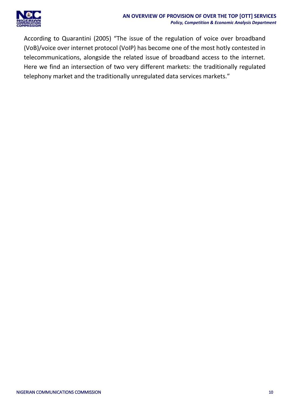

According to Quarantini (2005) "The issue of the regulation of voice over broadband (VoB)/voice over internet protocol (VoIP) has become one of the most hotly contested in telecommunications, alongside the related issue of broadband access to the internet. Here we find an intersection of two very different markets: the traditionally regulated telephony market and the traditionally unregulated data services markets."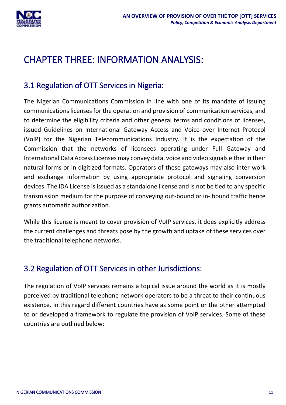

# <span id="page-11-0"></span>CHAPTER THREE: INFORMATION ANALYSIS:

### <span id="page-11-1"></span>3.1 Regulation of OTT Services in Nigeria:

The Nigerian Communications Commission in line with one of its mandate of issuing communications licenses for the operation and provision of communication services, and to determine the eligibility criteria and other general terms and conditions of licenses, issued Guidelines on International Gateway Access and Voice over Internet Protocol (VoIP) for the Nigerian Telecommunications Industry. It is the expectation of the Commission that the networks of licensees operating under Full Gateway and International Data Access Licenses may convey data, voice and video signals either in their natural forms or in digitized formats. Operators of these gateways may also inter-work and exchange information by using appropriate protocol and signaling conversion devices. The IDA License is issued as a standalone license and is not be tied to any specific transmission medium for the purpose of conveying out-bound or in- bound traffic hence grants automatic authorization.

While this license is meant to cover provision of VoIP services, it does explicitly address the current challenges and threats pose by the growth and uptake of these services over the traditional telephone networks.

### <span id="page-11-2"></span>3.2 Regulation of OTT Services in other Jurisdictions:

The regulation of VoIP services remains a topical issue around the world as it is mostly perceived by traditional telephone network operators to be a threat to their continuous existence. In this regard different countries have as some point or the other attempted to or developed a framework to regulate the provision of VoIP services. Some of these countries are outlined below: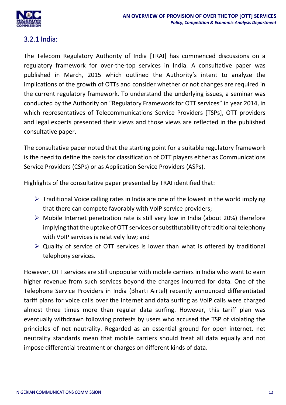

#### <span id="page-12-0"></span>3.2.1 India:

The Telecom Regulatory Authority of India [TRAI] has commenced discussions on a regulatory framework for over-the-top services in India. A consultative paper was published in March, 2015 which outlined the Authority's intent to analyze the implications of the growth of OTTs and consider whether or not changes are required in the current regulatory framework. To understand the underlying issues, a seminar was conducted by the Authority on "Regulatory Framework for OTT services" in year 2014, in which representatives of Telecommunications Service Providers [TSPs], OTT providers and legal experts presented their views and those views are reflected in the published consultative paper.

The consultative paper noted that the starting point for a suitable regulatory framework is the need to define the basis for classification of OTT players either as Communications Service Providers (CSPs) or as Application Service Providers (ASPs).

Highlights of the consultative paper presented by TRAI identified that:

- $\triangleright$  Traditional Voice calling rates in India are one of the lowest in the world implying that there can compete favorably with VoIP service providers;
- $\triangleright$  Mobile Internet penetration rate is still very low in India (about 20%) therefore implying that the uptake of OTT services or substitutability of traditional telephony with VoIP services is relatively low; and
- $\triangleright$  Quality of service of OTT services is lower than what is offered by traditional telephony services.

However, OTT services are still unpopular with mobile carriers in India who want to earn higher revenue from such services beyond the charges incurred for data. One of the Telephone Service Providers in India (Bharti Airtel) recently announced differentiated tariff plans for voice calls over the Internet and data surfing as VoIP calls were charged almost three times more than regular data surfing. However, this tariff plan was eventually withdrawn following protests by users who accused the TSP of violating the principles of net neutrality. Regarded as an essential ground for open internet, net neutrality standards mean that mobile carriers should treat all data equally and not impose differential treatment or charges on different kinds of data.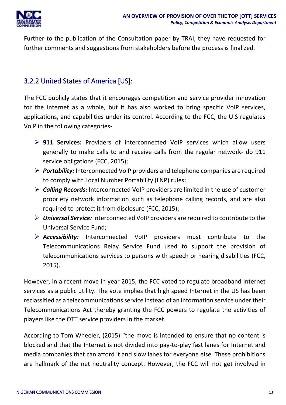

Further to the publication of the Consultation paper by TRAI, they have requested for further comments and suggestions from stakeholders before the process is finalized.

#### <span id="page-13-0"></span>3.2.2 United States of America [US]:

The FCC publicly states that it encourages competition and service provider innovation for the Internet as a whole, but it has also worked to bring specific VoIP services, applications, and capabilities under its control. According to the FCC, the U.S regulates VoIP in the following categories-

- **911 Services:** Providers of interconnected VoIP services which allow users generally to make calls to and receive calls from the regular network- do 911 service obligations (FCC, 2015);
- *Portability:* Interconnected VoIP providers and telephone companies are required to comply with Local Number Portability (LNP) rules;
- *Calling Records:* Interconnected VoIP providers are limited in the use of customer propriety network information such as telephone calling records, and are also required to protect it from disclosure (FCC, 2015);
- *Universal Service:* Interconnected VoIP providers are required to contribute to the Universal Service Fund;
- *Accessibility:* Interconnected VoIP providers must contribute to the Telecommunications Relay Service Fund used to support the provision of telecommunications services to persons with speech or hearing disabilities (FCC, 2015).

However, in a recent move in year 2015, the FCC voted to regulate broadband Internet services as a public utility. The vote implies that high speed Internet in the US has been reclassified as a telecommunications service instead of an information service under their Telecommunications Act thereby granting the FCC powers to regulate the activities of players like the OTT service providers in the market.

According to Tom Wheeler, (2015) "the move is intended to ensure that no content is blocked and that the Internet is not divided into pay-to-play fast lanes for Internet and media companies that can afford it and slow lanes for everyone else. These prohibitions are hallmark of the net neutrality concept. However, the FCC will not get involved in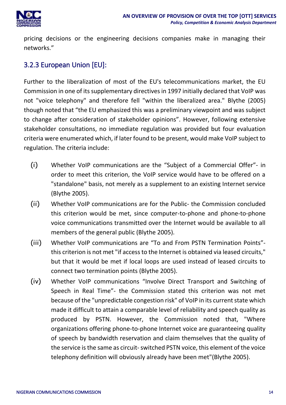

pricing decisions or the engineering decisions companies make in managing their networks."

#### <span id="page-14-0"></span>3.2.3 European Union [EU]:

Further to the liberalization of most of the EU's telecommunications market, the EU Commission in one of its supplementary directives in 1997 initially declared that VoIP was not "voice telephony" and therefore fell "within the liberalized area." Blythe (2005) though noted that "the EU emphasized this was a preliminary viewpoint and was subject to change after consideration of stakeholder opinions". However, following extensive stakeholder consultations, no immediate regulation was provided but four evaluation criteria were enumerated which, if later found to be present, would make VoIP subject to regulation. The criteria include:

- (i) Whether VoIP communications are the "Subject of a Commercial Offer"- in order to meet this criterion, the VoIP service would have to be offered on a "standalone" basis, not merely as a supplement to an existing Internet service (Blythe 2005).
- (ii) Whether VoIP communications are for the Public- the Commission concluded this criterion would be met, since computer-to-phone and phone-to-phone voice communications transmitted over the Internet would be available to all members of the general public (Blythe 2005).
- (iii) Whether VoIP communications are "To and From PSTN Termination Points" this criterion is not met "if access to the Internet is obtained via leased circuits," but that it would be met if local loops are used instead of leased circuits to connect two termination points (Blythe 2005).
- (iv) Whether VoIP communications "Involve Direct Transport and Switching of Speech in Real Time"- the Commission stated this criterion was not met because of the "unpredictable congestion risk" of VoIP in its current state which made it difficult to attain a comparable level of reliability and speech quality as produced by PSTN. However, the Commission noted that, "Where organizations offering phone-to-phone Internet voice are guaranteeing quality of speech by bandwidth reservation and claim themselves that the quality of the service is the same as circuit-switched PSTN voice, this element of the voice telephony definition will obviously already have been met"(Blythe 2005).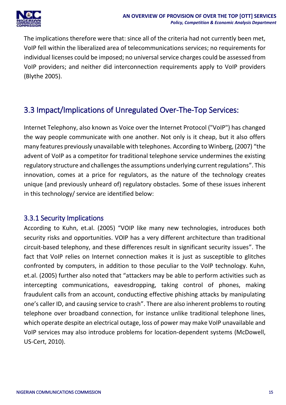

The implications therefore were that: since all of the criteria had not currently been met, VoIP fell within the liberalized area of telecommunications services; no requirements for individual licenses could be imposed; no universal service charges could be assessed from VoIP providers; and neither did interconnection requirements apply to VoIP providers (Blythe 2005).

### <span id="page-15-0"></span>3.3 Impact/Implications of Unregulated Over-The-Top Services:

Internet Telephony, also known as Voice over the Internet Protocol ("VoIP") has changed the way people communicate with one another. Not only is it cheap, but it also offers many features previously unavailable with telephones. According to Winberg, (2007) "the advent of VoIP as a competitor for traditional telephone service undermines the existing regulatory structure and challenges the assumptions underlying current regulations". This innovation, comes at a price for regulators, as the nature of the technology creates unique (and previously unheard of) regulatory obstacles. Some of these issues inherent in this technology/ service are identified below:

#### <span id="page-15-1"></span>3.3.1 Security Implications

According to Kuhn, et.al. (2005) "VOIP like many new technologies, introduces both security risks and opportunities. VOIP has a very different architecture than traditional circuit-based telephony, and these differences result in significant security issues". The fact that VoIP relies on Internet connection makes it is just as susceptible to glitches confronted by computers, in addition to those peculiar to the VoIP technology. Kuhn, et.al. (2005) further also noted that "attackers may be able to perform activities such as intercepting communications, eavesdropping, taking control of phones, making fraudulent calls from an account, conducting effective phishing attacks by manipulating one's caller ID, and causing service to crash". There are also inherent problems to routing telephone over broadband connection, for instance unlike traditional telephone lines, which operate despite an electrical outage, loss of power may make VoIP unavailable and VoIP services may also introduce problems for location-dependent systems (McDowell, US-Cert, 2010).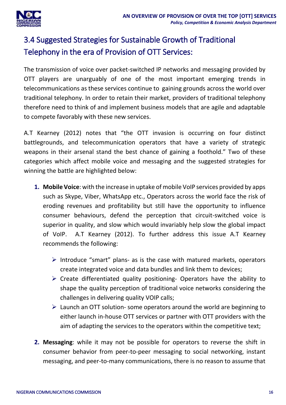

### <span id="page-16-0"></span>3.4 Suggested Strategies for Sustainable Growth of Traditional Telephony in the era of Provision of OTT Services:

The transmission of voice over packet-switched IP networks and messaging provided by OTT players are unarguably of one of the most important emerging trends in telecommunications as these services continue to gaining grounds across the world over traditional telephony. In order to retain their market, providers of traditional telephony therefore need to think of and implement business models that are agile and adaptable to compete favorably with these new services.

A.T Kearney (2012) notes that "the OTT invasion is occurring on four distinct battlegrounds, and telecommunication operators that have a variety of strategic weapons in their arsenal stand the best chance of gaining a foothold." Two of these categories which affect mobile voice and messaging and the suggested strategies for winning the battle are highlighted below:

- **1. Mobile Voice**: with the increase in uptake of mobile VoIP services provided by apps such as Skype, Viber, WhatsApp etc., Operators across the world face the risk of eroding revenues and profitability but still have the opportunity to influence consumer behaviours, defend the perception that circuit-switched voice is superior in quality, and slow which would invariably help slow the global impact of VoIP. A.T Kearney (2012). To further address this issue A.T Kearney recommends the following:
	- $\triangleright$  Introduce "smart" plans- as is the case with matured markets, operators create integrated voice and data bundles and link them to devices;
	- $\triangleright$  Create differentiated quality positioning- Operators have the ability to shape the quality perception of traditional voice networks considering the challenges in delivering quality VOIP calls;
	- $\triangleright$  Launch an OTT solution-some operators around the world are beginning to either launch in-house OTT services or partner with OTT providers with the aim of adapting the services to the operators within the competitive text;
- **2. Messaging**: while it may not be possible for operators to reverse the shift in consumer behavior from peer-to-peer messaging to social networking, instant messaging, and peer-to-many communications, there is no reason to assume that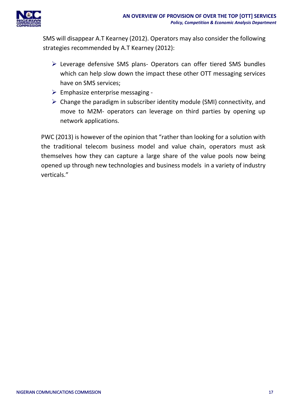

SMS will disappear A.T Kearney (2012). Operators may also consider the following strategies recommended by A.T Kearney (2012):

- Leverage defensive SMS plans- Operators can offer tiered SMS bundles which can help slow down the impact these other OTT messaging services have on SMS services;
- $\triangleright$  Emphasize enterprise messaging -
- $\triangleright$  Change the paradigm in subscriber identity module (SMI) connectivity, and move to M2M- operators can leverage on third parties by opening up network applications.

PWC (2013) is however of the opinion that "rather than looking for a solution with the traditional telecom business model and value chain, operators must ask themselves how they can capture a large share of the value pools now being opened up through new technologies and business models in a variety of industry verticals."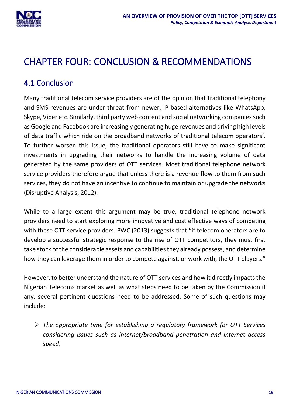

# <span id="page-18-0"></span>CHAPTER FOUR: CONCLUSION & RECOMMENDATIONS

### <span id="page-18-1"></span>4.1 Conclusion

Many traditional telecom service providers are of the opinion that traditional telephony and SMS revenues are under threat from newer, IP based alternatives like WhatsApp, Skype, Viber etc. Similarly, third party web content and social networking companies such as Google and Facebook are increasingly generating huge revenues and driving high levels of data traffic which ride on the broadband networks of traditional telecom operators'. To further worsen this issue, the traditional operators still have to make significant investments in upgrading their networks to handle the increasing volume of data generated by the same providers of OTT services. Most traditional telephone network service providers therefore argue that unless there is a revenue flow to them from such services, they do not have an incentive to continue to maintain or upgrade the networks (Disruptive Analysis, 2012).

While to a large extent this argument may be true, traditional telephone network providers need to start exploring more innovative and cost effective ways of competing with these OTT service providers. PWC (2013) suggests that "if telecom operators are to develop a successful strategic response to the rise of OTT competitors, they must first take stock of the considerable assets and capabilities they already possess, and determine how they can leverage them in order to compete against, or work with, the OTT players."

However, to better understand the nature of OTT services and how it directly impacts the Nigerian Telecoms market as well as what steps need to be taken by the Commission if any, several pertinent questions need to be addressed. Some of such questions may include:

 *The appropriate time for establishing a regulatory framework for OTT Services considering issues such as internet/broadband penetration and internet access speed;*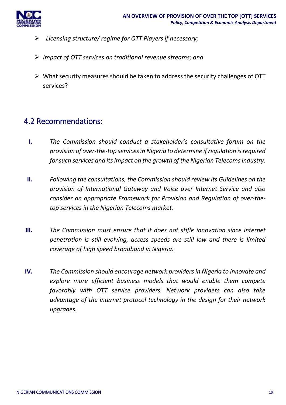

- *Licensing structure/ regime for OTT Players if necessary;*
- *Impact of OTT services on traditional revenue streams; and*
- $\triangleright$  What security measures should be taken to address the security challenges of OTT services?

#### <span id="page-19-0"></span>4.2 Recommendations:

- **I.** *The Commission should conduct a stakeholder's consultative forum on the provision of over-the-top services in Nigeria to determine if regulation is required for such services and its impact on the growth of the Nigerian Telecoms industry.*
- **II.** *Following the consultations, the Commission should review its Guidelines on the provision of International Gateway and Voice over Internet Service and also consider an appropriate Framework for Provision and Regulation of over-thetop services in the Nigerian Telecoms market.*
- **III.** *The Commission must ensure that it does not stifle innovation since internet penetration is still evolving, access speeds are still low and there is limited coverage of high speed broadband in Nigeria.*
- **IV.** *The Commission should encourage network providers in Nigeria to innovate and explore more efficient business models that would enable them compete favorably with OTT service providers. Network providers can also take advantage of the internet protocol technology in the design for their network upgrades.*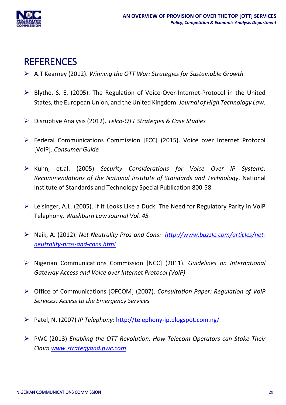

### <span id="page-20-0"></span>**REFERENCES**

- A.T Kearney (2012). *Winning the OTT War: Strategies for Sustainable Growth*
- Blythe, S. E. (2005). The Regulation of Voice-Over-Internet-Protocol in the United States, the European Union, and the United Kingdom. *Journal of High Technology Law.*
- Disruptive Analysis (2012). *Telco-OTT Strategies & Case Studies*
- Federal Communications Commission [FCC] (2015). Voice over Internet Protocol [VoIP]. *Consumer Guide*
- Kuhn, et.al. (2005) *Security Considerations for Voice Over IP Systems: Recommendations of the National Institute of Standards and Technology*. National Institute of Standards and Technology Special Publication 800-58.
- $\triangleright$  Leisinger, A.L. (2005). If It Looks Like a Duck: The Need for Regulatory Parity in VoIP Telephony. *Washburn Law Journal Vol. 45*
- Naik, A. (2012). *Net Neutrality Pros and Cons: [http://www.buzzle.com/articles/net](http://www.buzzle.com/articles/net-neutrality-pros-and-cons.html)[neutrality-pros-and-cons.html](http://www.buzzle.com/articles/net-neutrality-pros-and-cons.html)*
- Nigerian Communications Commission [NCC] (2011). *Guidelines on International Gateway Access and Voice over Internet Protocol (VoIP)*
- Office of Communications [OFCOM] (2007). *Consultation Paper: Regulation of VoIP Services: Access to the Emergency Services*
- Patel, N. (2007) *IP Telephony*:<http://telephony-ip.blogspot.com.ng/>
- PWC (2013) *Enabling the OTT Revolution: How Telecom Operators can Stake Their Claim [www.strategyand.pwc.com](http://www.strategyand.pwc.com/)*